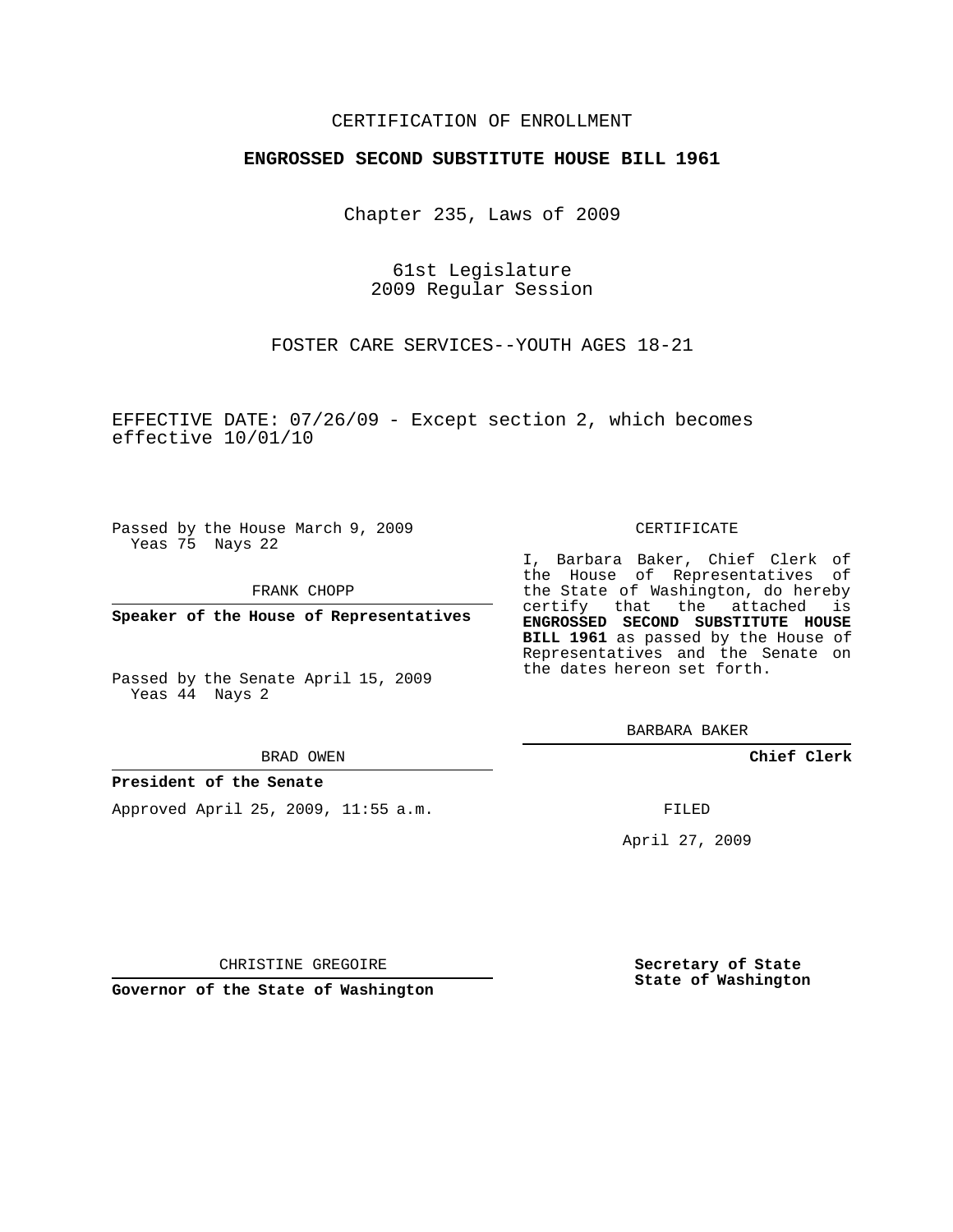## CERTIFICATION OF ENROLLMENT

## **ENGROSSED SECOND SUBSTITUTE HOUSE BILL 1961**

Chapter 235, Laws of 2009

61st Legislature 2009 Regular Session

FOSTER CARE SERVICES--YOUTH AGES 18-21

EFFECTIVE DATE: 07/26/09 - Except section 2, which becomes effective 10/01/10

Passed by the House March 9, 2009 Yeas 75 Nays 22

FRANK CHOPP

**Speaker of the House of Representatives**

Passed by the Senate April 15, 2009 Yeas 44 Nays 2

#### BRAD OWEN

### **President of the Senate**

Approved April 25, 2009, 11:55 a.m.

#### CERTIFICATE

I, Barbara Baker, Chief Clerk of the House of Representatives of the State of Washington, do hereby certify that the attached is **ENGROSSED SECOND SUBSTITUTE HOUSE BILL 1961** as passed by the House of Representatives and the Senate on the dates hereon set forth.

BARBARA BAKER

**Chief Clerk**

FILED

April 27, 2009

CHRISTINE GREGOIRE

**Governor of the State of Washington**

**Secretary of State State of Washington**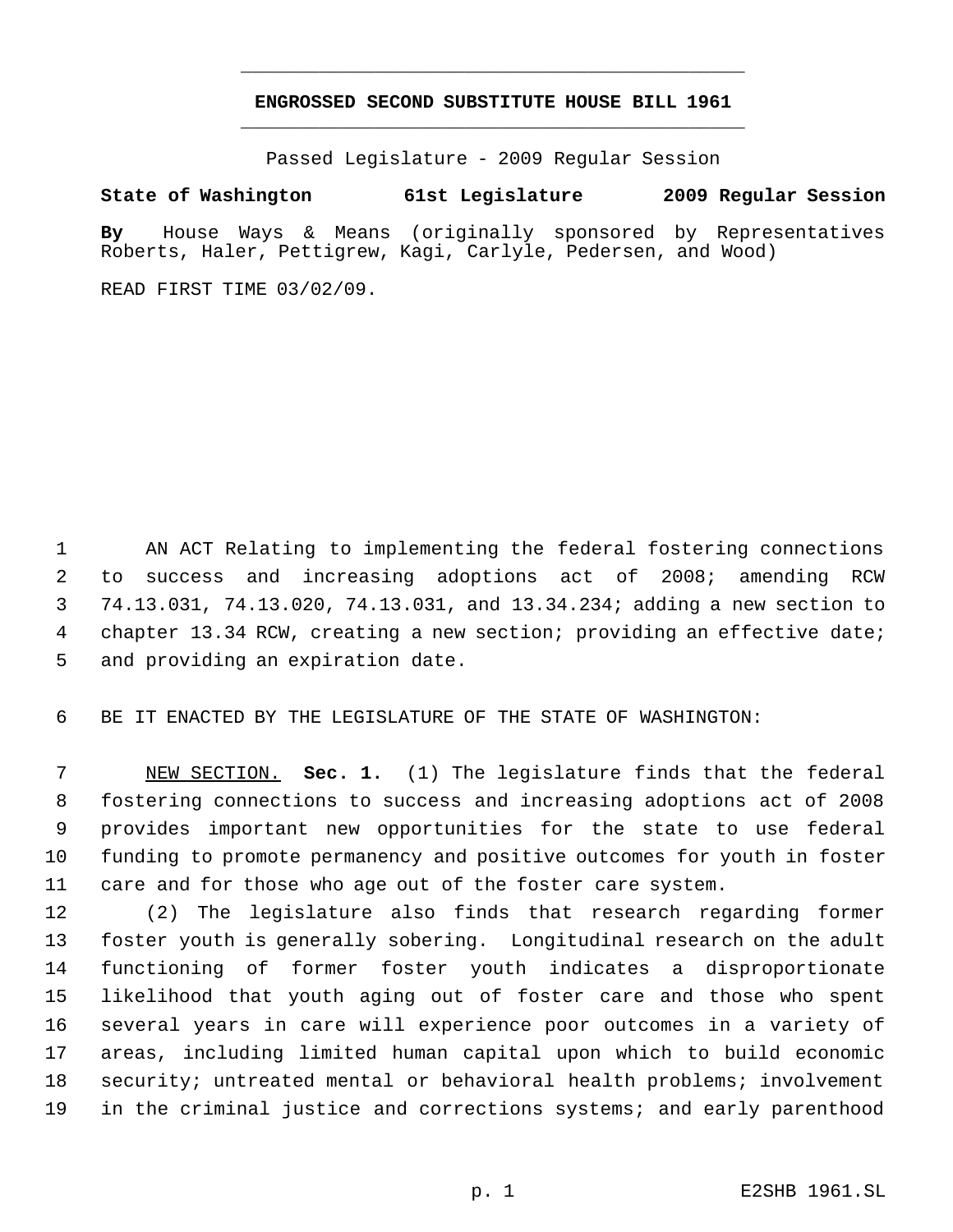# **ENGROSSED SECOND SUBSTITUTE HOUSE BILL 1961** \_\_\_\_\_\_\_\_\_\_\_\_\_\_\_\_\_\_\_\_\_\_\_\_\_\_\_\_\_\_\_\_\_\_\_\_\_\_\_\_\_\_\_\_\_

\_\_\_\_\_\_\_\_\_\_\_\_\_\_\_\_\_\_\_\_\_\_\_\_\_\_\_\_\_\_\_\_\_\_\_\_\_\_\_\_\_\_\_\_\_

Passed Legislature - 2009 Regular Session

# **State of Washington 61st Legislature 2009 Regular Session**

**By** House Ways & Means (originally sponsored by Representatives Roberts, Haler, Pettigrew, Kagi, Carlyle, Pedersen, and Wood)

READ FIRST TIME 03/02/09.

 AN ACT Relating to implementing the federal fostering connections to success and increasing adoptions act of 2008; amending RCW 74.13.031, 74.13.020, 74.13.031, and 13.34.234; adding a new section to 4 chapter 13.34 RCW, creating a new section; providing an effective date; and providing an expiration date.

BE IT ENACTED BY THE LEGISLATURE OF THE STATE OF WASHINGTON:

 NEW SECTION. **Sec. 1.** (1) The legislature finds that the federal fostering connections to success and increasing adoptions act of 2008 provides important new opportunities for the state to use federal funding to promote permanency and positive outcomes for youth in foster care and for those who age out of the foster care system.

 (2) The legislature also finds that research regarding former foster youth is generally sobering. Longitudinal research on the adult functioning of former foster youth indicates a disproportionate likelihood that youth aging out of foster care and those who spent several years in care will experience poor outcomes in a variety of areas, including limited human capital upon which to build economic security; untreated mental or behavioral health problems; involvement in the criminal justice and corrections systems; and early parenthood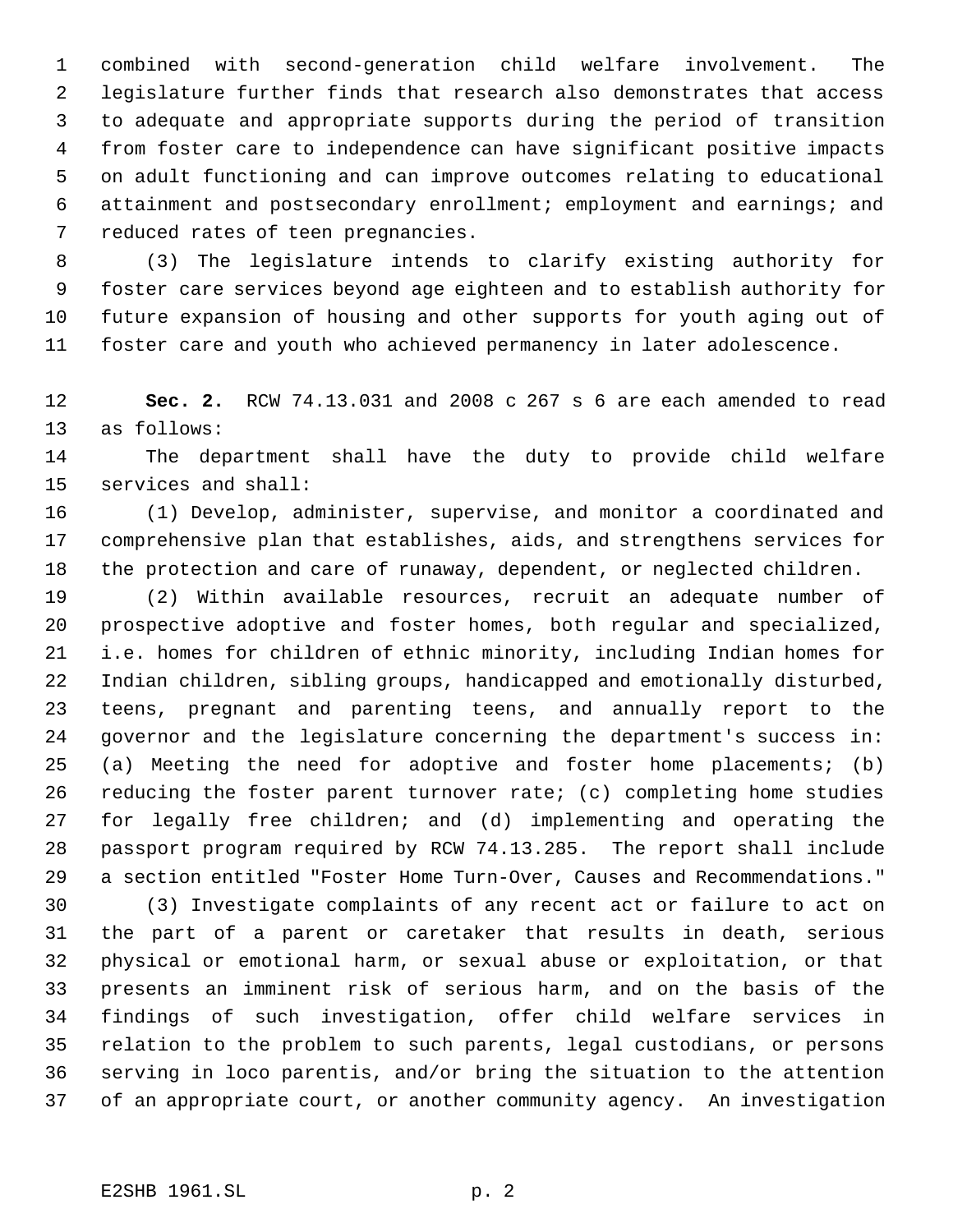combined with second-generation child welfare involvement. The legislature further finds that research also demonstrates that access to adequate and appropriate supports during the period of transition from foster care to independence can have significant positive impacts on adult functioning and can improve outcomes relating to educational attainment and postsecondary enrollment; employment and earnings; and reduced rates of teen pregnancies.

 (3) The legislature intends to clarify existing authority for foster care services beyond age eighteen and to establish authority for future expansion of housing and other supports for youth aging out of foster care and youth who achieved permanency in later adolescence.

 **Sec. 2.** RCW 74.13.031 and 2008 c 267 s 6 are each amended to read as follows:

 The department shall have the duty to provide child welfare services and shall:

 (1) Develop, administer, supervise, and monitor a coordinated and comprehensive plan that establishes, aids, and strengthens services for the protection and care of runaway, dependent, or neglected children.

 (2) Within available resources, recruit an adequate number of prospective adoptive and foster homes, both regular and specialized, i.e. homes for children of ethnic minority, including Indian homes for Indian children, sibling groups, handicapped and emotionally disturbed, teens, pregnant and parenting teens, and annually report to the governor and the legislature concerning the department's success in: (a) Meeting the need for adoptive and foster home placements; (b) reducing the foster parent turnover rate; (c) completing home studies for legally free children; and (d) implementing and operating the passport program required by RCW 74.13.285. The report shall include a section entitled "Foster Home Turn-Over, Causes and Recommendations."

 (3) Investigate complaints of any recent act or failure to act on the part of a parent or caretaker that results in death, serious physical or emotional harm, or sexual abuse or exploitation, or that presents an imminent risk of serious harm, and on the basis of the findings of such investigation, offer child welfare services in relation to the problem to such parents, legal custodians, or persons serving in loco parentis, and/or bring the situation to the attention of an appropriate court, or another community agency. An investigation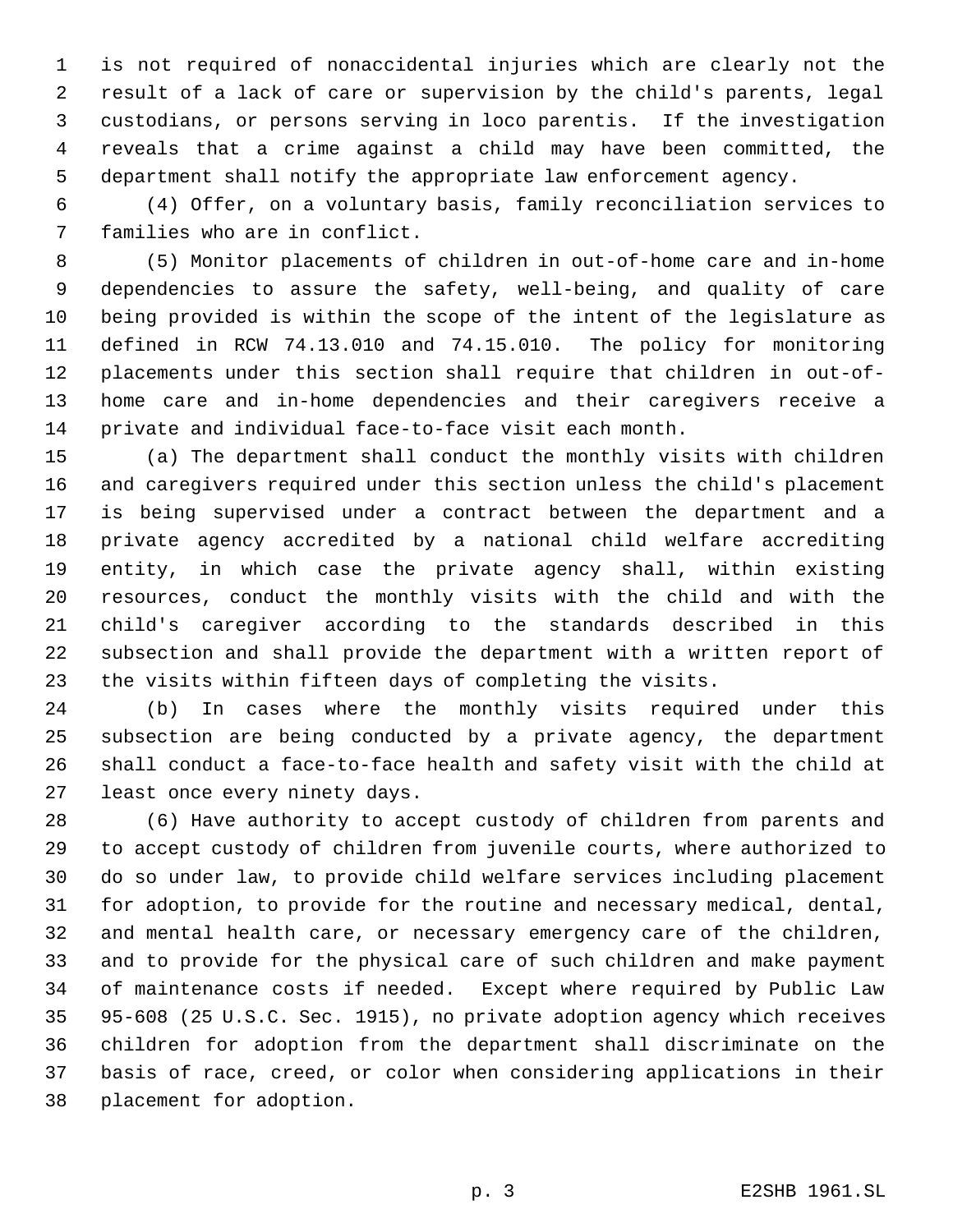is not required of nonaccidental injuries which are clearly not the result of a lack of care or supervision by the child's parents, legal custodians, or persons serving in loco parentis. If the investigation reveals that a crime against a child may have been committed, the department shall notify the appropriate law enforcement agency.

 (4) Offer, on a voluntary basis, family reconciliation services to families who are in conflict.

 (5) Monitor placements of children in out-of-home care and in-home dependencies to assure the safety, well-being, and quality of care being provided is within the scope of the intent of the legislature as defined in RCW 74.13.010 and 74.15.010. The policy for monitoring placements under this section shall require that children in out-of- home care and in-home dependencies and their caregivers receive a private and individual face-to-face visit each month.

 (a) The department shall conduct the monthly visits with children and caregivers required under this section unless the child's placement is being supervised under a contract between the department and a private agency accredited by a national child welfare accrediting entity, in which case the private agency shall, within existing resources, conduct the monthly visits with the child and with the child's caregiver according to the standards described in this subsection and shall provide the department with a written report of the visits within fifteen days of completing the visits.

 (b) In cases where the monthly visits required under this subsection are being conducted by a private agency, the department shall conduct a face-to-face health and safety visit with the child at least once every ninety days.

 (6) Have authority to accept custody of children from parents and to accept custody of children from juvenile courts, where authorized to do so under law, to provide child welfare services including placement for adoption, to provide for the routine and necessary medical, dental, and mental health care, or necessary emergency care of the children, and to provide for the physical care of such children and make payment of maintenance costs if needed. Except where required by Public Law 95-608 (25 U.S.C. Sec. 1915), no private adoption agency which receives children for adoption from the department shall discriminate on the basis of race, creed, or color when considering applications in their placement for adoption.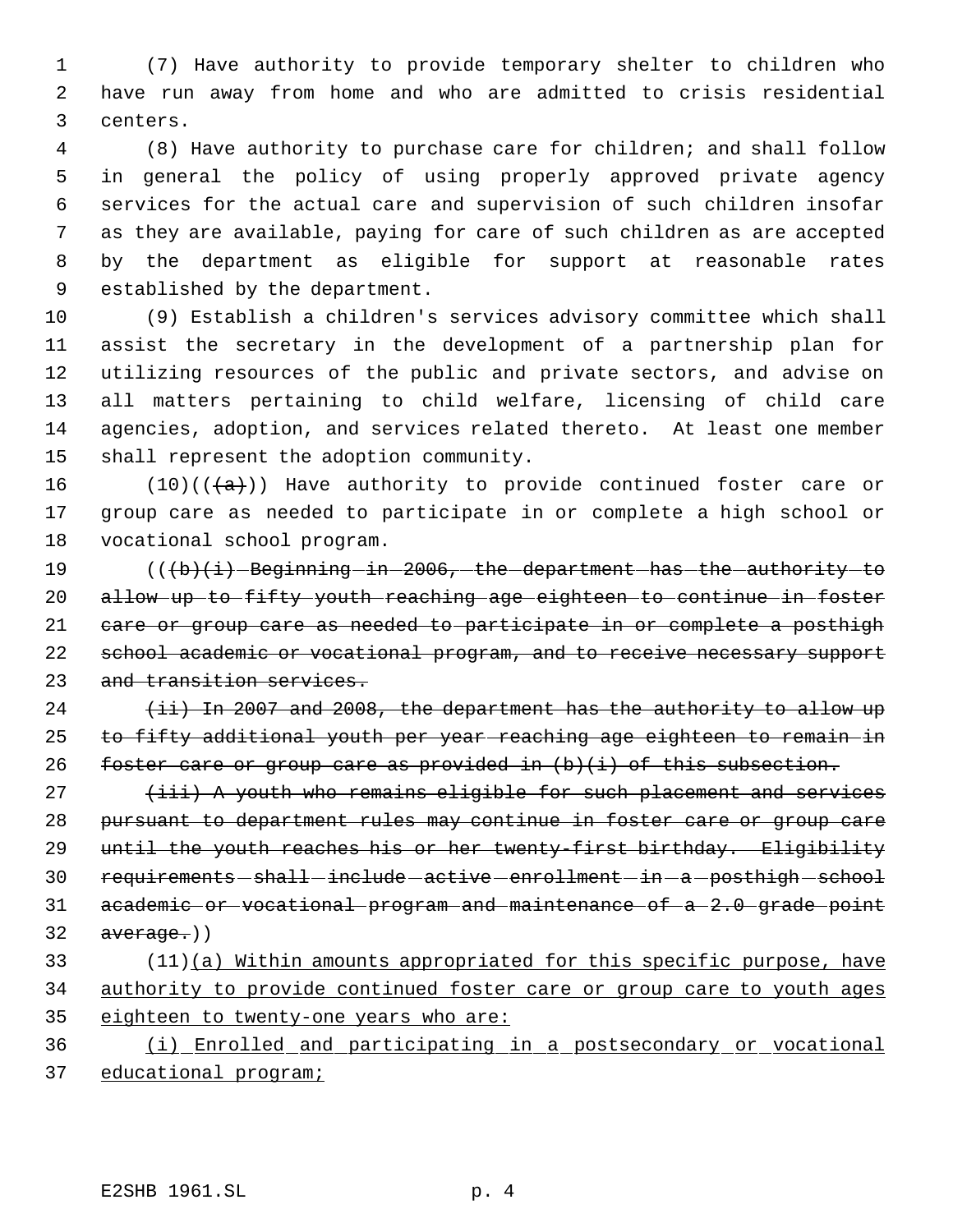(7) Have authority to provide temporary shelter to children who have run away from home and who are admitted to crisis residential centers.

 (8) Have authority to purchase care for children; and shall follow in general the policy of using properly approved private agency services for the actual care and supervision of such children insofar as they are available, paying for care of such children as are accepted by the department as eligible for support at reasonable rates established by the department.

 (9) Establish a children's services advisory committee which shall assist the secretary in the development of a partnership plan for utilizing resources of the public and private sectors, and advise on all matters pertaining to child welfare, licensing of child care agencies, adoption, and services related thereto. At least one member shall represent the adoption community.

16 (10)( $(\overline{a})$ ) Have authority to provide continued foster care or group care as needed to participate in or complete a high school or vocational school program.

19 (((b)(i) Beginning in 2006, the department has the authority to allow up to fifty youth reaching age eighteen to continue in foster care or group care as needed to participate in or complete a posthigh 22 school academic or vocational program, and to receive necessary support and transition services.

  $(iii)$  In 2007 and 2008, the department has the authority to allow up to fifty additional youth per year reaching age eighteen to remain in 26 foster care or group care as provided in  $(b)(i)$  of this subsection.

  $(iii)$  A youth who remains eligible for such placement and services pursuant to department rules may continue in foster care or group care 29 until the youth reaches his or her twenty-first birthday. Eligibility 30 requirements - shall - include - active - enrollment - in - a - posthigh - school academic or vocational program and maintenance of a 2.0 grade point  $32 \quad \text{average.}$ 

33 (11)(a) Within amounts appropriated for this specific purpose, have authority to provide continued foster care or group care to youth ages eighteen to twenty-one years who are:

 (i) Enrolled and participating in a postsecondary or vocational educational program;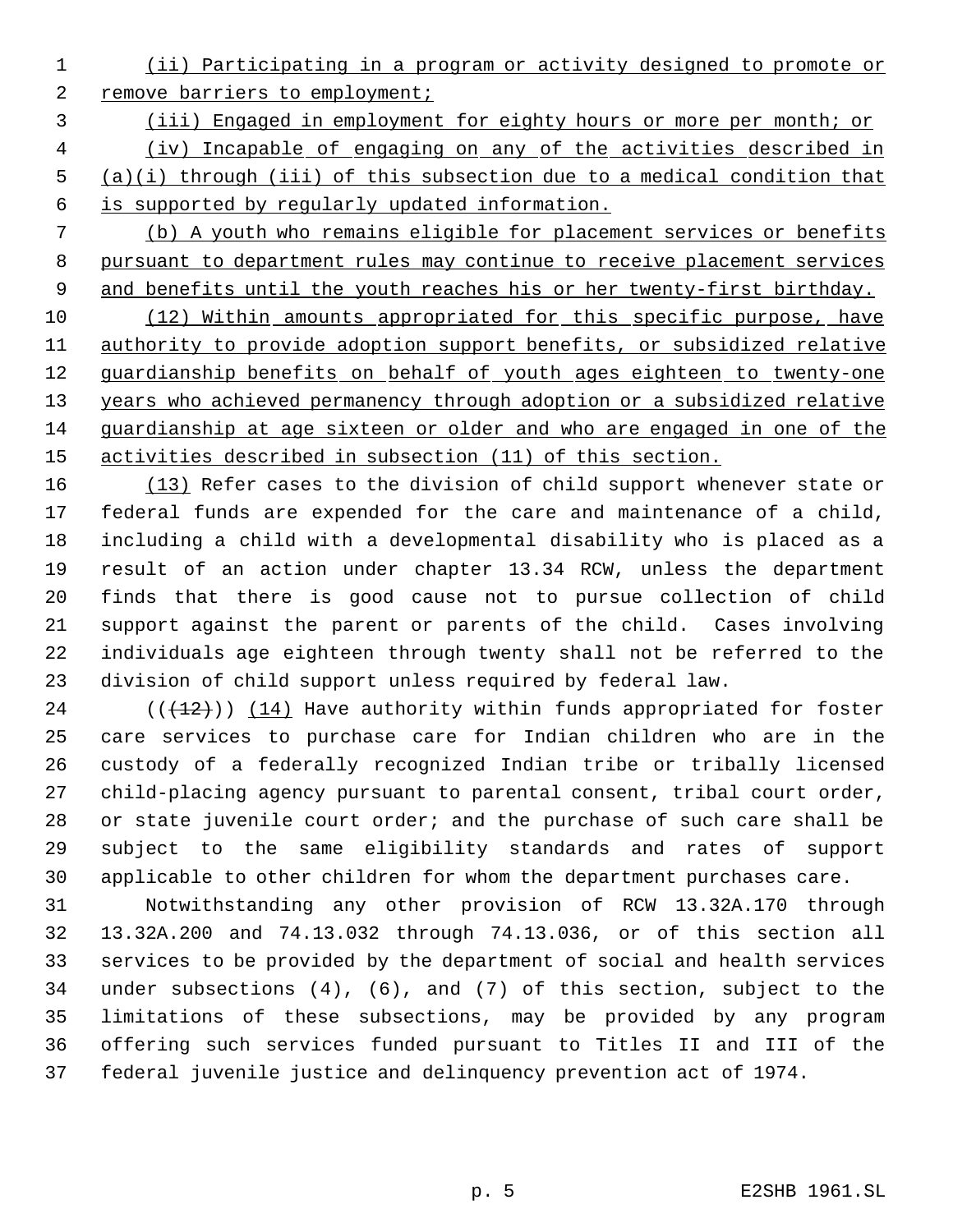- (ii) Participating in a program or activity designed to promote or 2 remove barriers to employment;
- (iii) Engaged in employment for eighty hours or more per month; or

 (iv) Incapable of engaging on any of the activities described in (a)(i) through (iii) of this subsection due to a medical condition that is supported by regularly updated information.

 (b) A youth who remains eligible for placement services or benefits pursuant to department rules may continue to receive placement services 9 and benefits until the youth reaches his or her twenty-first birthday.

 (12) Within amounts appropriated for this specific purpose, have authority to provide adoption support benefits, or subsidized relative 12 guardianship benefits on behalf of youth ages eighteen to twenty-one years who achieved permanency through adoption or a subsidized relative guardianship at age sixteen or older and who are engaged in one of the activities described in subsection (11) of this section.

16 (13) Refer cases to the division of child support whenever state or federal funds are expended for the care and maintenance of a child, including a child with a developmental disability who is placed as a result of an action under chapter 13.34 RCW, unless the department finds that there is good cause not to pursue collection of child support against the parent or parents of the child. Cases involving individuals age eighteen through twenty shall not be referred to the division of child support unless required by federal law.

 $((+12))$   $(14)$  Have authority within funds appropriated for foster care services to purchase care for Indian children who are in the custody of a federally recognized Indian tribe or tribally licensed child-placing agency pursuant to parental consent, tribal court order, 28 or state juvenile court order; and the purchase of such care shall be subject to the same eligibility standards and rates of support applicable to other children for whom the department purchases care.

 Notwithstanding any other provision of RCW 13.32A.170 through 13.32A.200 and 74.13.032 through 74.13.036, or of this section all services to be provided by the department of social and health services under subsections (4), (6), and (7) of this section, subject to the limitations of these subsections, may be provided by any program offering such services funded pursuant to Titles II and III of the federal juvenile justice and delinquency prevention act of 1974.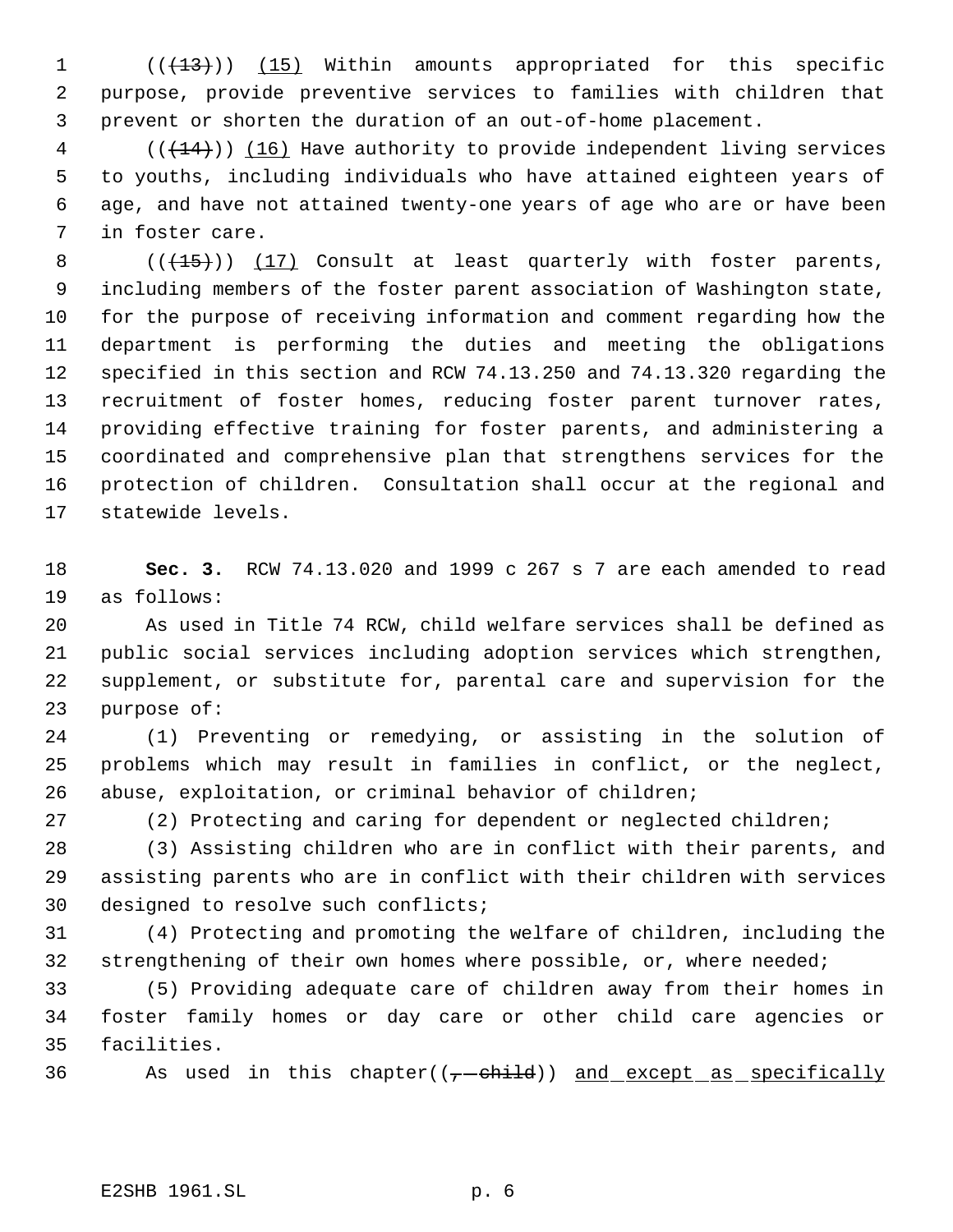1 (( $\left(\frac{13}{13}\right)$ ) (15) Within amounts appropriated for this specific purpose, provide preventive services to families with children that prevent or shorten the duration of an out-of-home placement.

4 (( $(14)$ )) (16) Have authority to provide independent living services to youths, including individuals who have attained eighteen years of age, and have not attained twenty-one years of age who are or have been in foster care.

8 (( $\left(\frac{15}{15}\right)$ ) (17) Consult at least quarterly with foster parents, including members of the foster parent association of Washington state, for the purpose of receiving information and comment regarding how the department is performing the duties and meeting the obligations specified in this section and RCW 74.13.250 and 74.13.320 regarding the recruitment of foster homes, reducing foster parent turnover rates, providing effective training for foster parents, and administering a coordinated and comprehensive plan that strengthens services for the protection of children. Consultation shall occur at the regional and statewide levels.

 **Sec. 3.** RCW 74.13.020 and 1999 c 267 s 7 are each amended to read as follows:

 As used in Title 74 RCW, child welfare services shall be defined as public social services including adoption services which strengthen, supplement, or substitute for, parental care and supervision for the purpose of:

 (1) Preventing or remedying, or assisting in the solution of problems which may result in families in conflict, or the neglect, abuse, exploitation, or criminal behavior of children;

(2) Protecting and caring for dependent or neglected children;

 (3) Assisting children who are in conflict with their parents, and assisting parents who are in conflict with their children with services 30 designed to resolve such conflicts;

 (4) Protecting and promoting the welfare of children, including the 32 strengthening of their own homes where possible, or, where needed;

 (5) Providing adequate care of children away from their homes in foster family homes or day care or other child care agencies or facilities.

36 As used in this chapter( $(-$ -child)) and except as specifically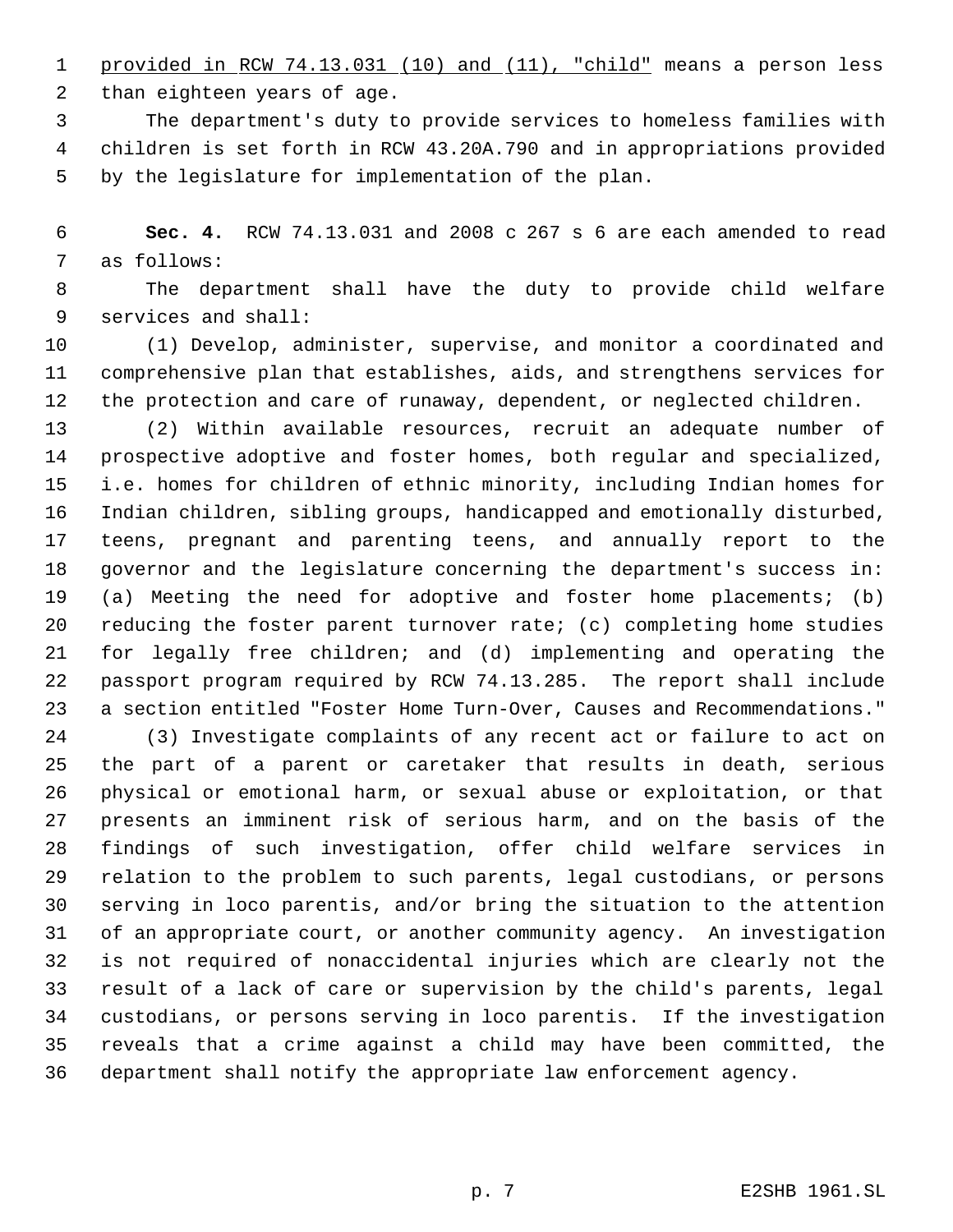1 provided in RCW 74.13.031 (10) and (11), "child" means a person less

than eighteen years of age.

 The department's duty to provide services to homeless families with children is set forth in RCW 43.20A.790 and in appropriations provided by the legislature for implementation of the plan.

 **Sec. 4.** RCW 74.13.031 and 2008 c 267 s 6 are each amended to read as follows:

 The department shall have the duty to provide child welfare services and shall:

 (1) Develop, administer, supervise, and monitor a coordinated and comprehensive plan that establishes, aids, and strengthens services for the protection and care of runaway, dependent, or neglected children.

 (2) Within available resources, recruit an adequate number of prospective adoptive and foster homes, both regular and specialized, i.e. homes for children of ethnic minority, including Indian homes for Indian children, sibling groups, handicapped and emotionally disturbed, teens, pregnant and parenting teens, and annually report to the governor and the legislature concerning the department's success in: (a) Meeting the need for adoptive and foster home placements; (b) reducing the foster parent turnover rate; (c) completing home studies for legally free children; and (d) implementing and operating the passport program required by RCW 74.13.285. The report shall include a section entitled "Foster Home Turn-Over, Causes and Recommendations."

 (3) Investigate complaints of any recent act or failure to act on the part of a parent or caretaker that results in death, serious physical or emotional harm, or sexual abuse or exploitation, or that presents an imminent risk of serious harm, and on the basis of the findings of such investigation, offer child welfare services in relation to the problem to such parents, legal custodians, or persons serving in loco parentis, and/or bring the situation to the attention of an appropriate court, or another community agency. An investigation is not required of nonaccidental injuries which are clearly not the result of a lack of care or supervision by the child's parents, legal custodians, or persons serving in loco parentis. If the investigation reveals that a crime against a child may have been committed, the department shall notify the appropriate law enforcement agency.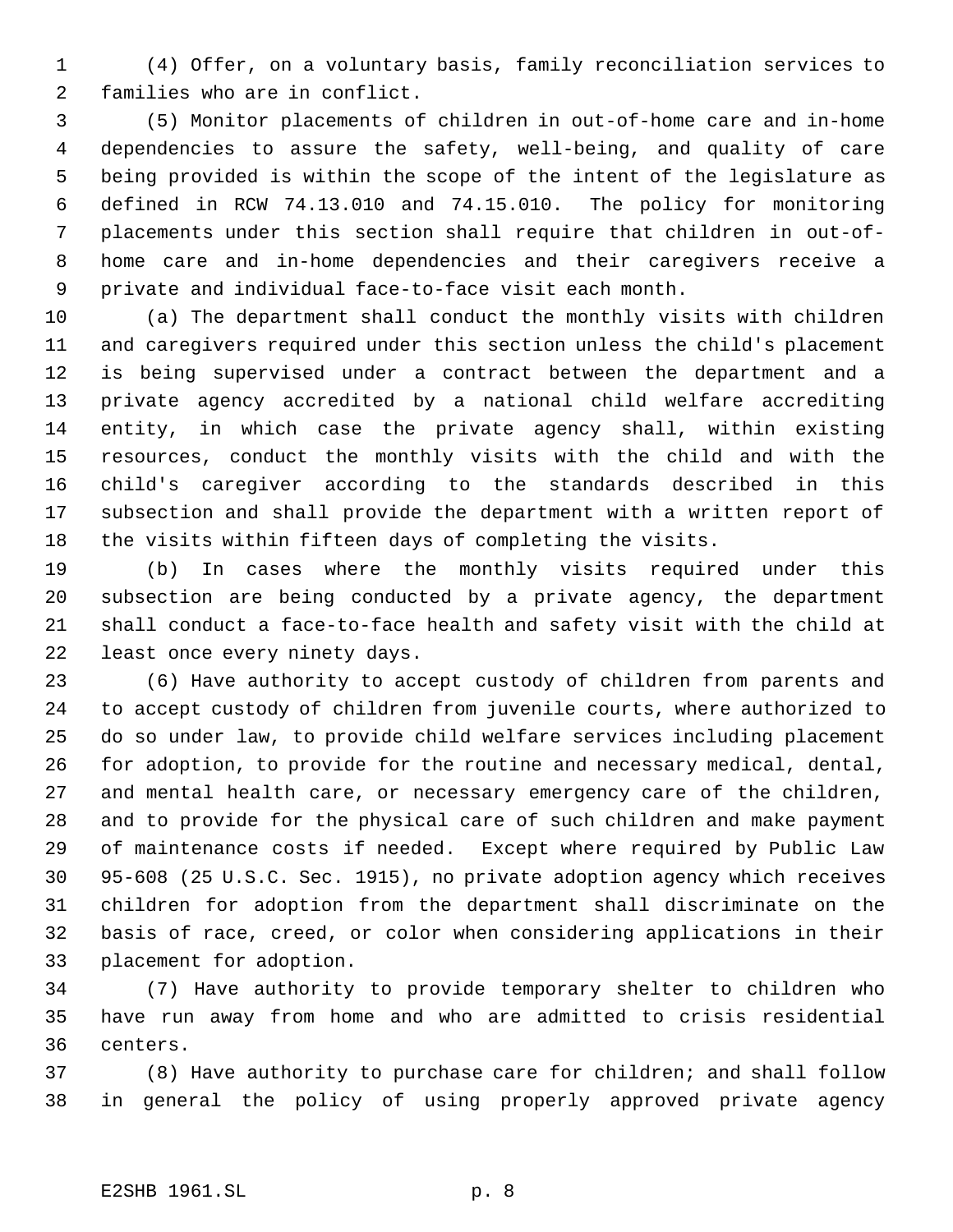(4) Offer, on a voluntary basis, family reconciliation services to families who are in conflict.

 (5) Monitor placements of children in out-of-home care and in-home dependencies to assure the safety, well-being, and quality of care being provided is within the scope of the intent of the legislature as defined in RCW 74.13.010 and 74.15.010. The policy for monitoring placements under this section shall require that children in out-of- home care and in-home dependencies and their caregivers receive a private and individual face-to-face visit each month.

 (a) The department shall conduct the monthly visits with children and caregivers required under this section unless the child's placement is being supervised under a contract between the department and a private agency accredited by a national child welfare accrediting entity, in which case the private agency shall, within existing resources, conduct the monthly visits with the child and with the child's caregiver according to the standards described in this subsection and shall provide the department with a written report of the visits within fifteen days of completing the visits.

 (b) In cases where the monthly visits required under this subsection are being conducted by a private agency, the department shall conduct a face-to-face health and safety visit with the child at least once every ninety days.

 (6) Have authority to accept custody of children from parents and to accept custody of children from juvenile courts, where authorized to do so under law, to provide child welfare services including placement for adoption, to provide for the routine and necessary medical, dental, and mental health care, or necessary emergency care of the children, and to provide for the physical care of such children and make payment of maintenance costs if needed. Except where required by Public Law 95-608 (25 U.S.C. Sec. 1915), no private adoption agency which receives children for adoption from the department shall discriminate on the basis of race, creed, or color when considering applications in their placement for adoption.

 (7) Have authority to provide temporary shelter to children who have run away from home and who are admitted to crisis residential centers.

 (8) Have authority to purchase care for children; and shall follow in general the policy of using properly approved private agency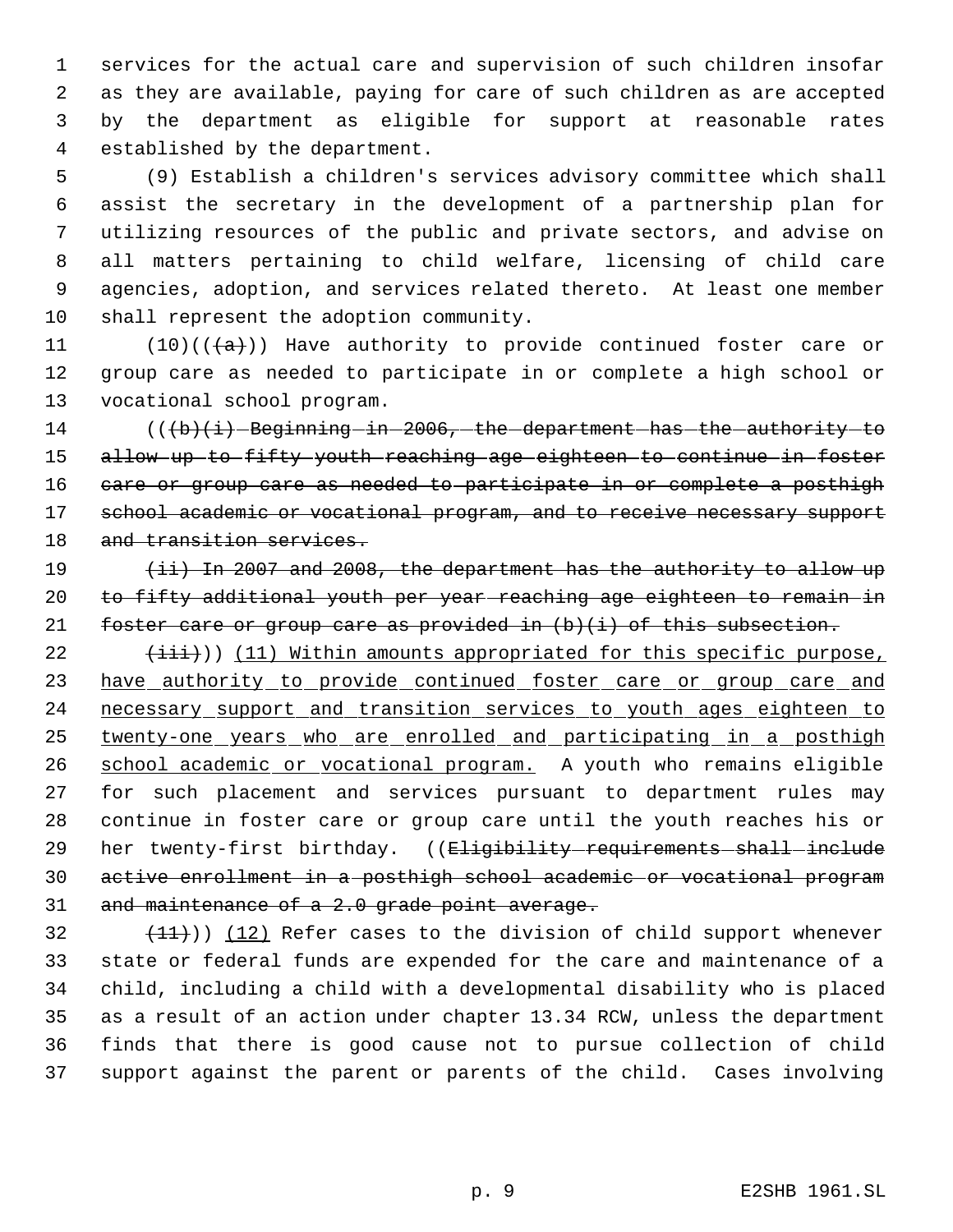services for the actual care and supervision of such children insofar as they are available, paying for care of such children as are accepted by the department as eligible for support at reasonable rates established by the department.

 (9) Establish a children's services advisory committee which shall assist the secretary in the development of a partnership plan for utilizing resources of the public and private sectors, and advise on all matters pertaining to child welfare, licensing of child care agencies, adoption, and services related thereto. At least one member shall represent the adoption community.

11 (10)( $(\overline{a})$ ) Have authority to provide continued foster care or group care as needed to participate in or complete a high school or vocational school program.

 ( $(\overline{\text{b}})(i)$  Beginning in 2006, the department has the authority to allow up to fifty youth reaching age eighteen to continue in foster 16 care or group care as needed to participate in or complete a posthigh 17 school academic or vocational program, and to receive necessary support 18 and transition services.

19 (ii) In 2007 and 2008, the department has the authority to allow up to fifty additional youth per year reaching age eighteen to remain in 21 foster care or group care as provided in (b)(i) of this subsection.

 $(iii)$ ) (11) Within amounts appropriated for this specific purpose, 23 have authority to provide continued foster care or group care and necessary support and transition services to youth ages eighteen to 25 twenty-one years who are enrolled and participating in a posthigh 26 school academic or vocational program. A youth who remains eligible for such placement and services pursuant to department rules may continue in foster care or group care until the youth reaches his or 29 her twenty-first birthday. ((<del>Eligibility requirements shall include</del> active enrollment in a posthigh school academic or vocational program 31 and maintenance of a 2.0 grade point average.

 $(11)$ ) (12) Refer cases to the division of child support whenever state or federal funds are expended for the care and maintenance of a child, including a child with a developmental disability who is placed as a result of an action under chapter 13.34 RCW, unless the department finds that there is good cause not to pursue collection of child support against the parent or parents of the child. Cases involving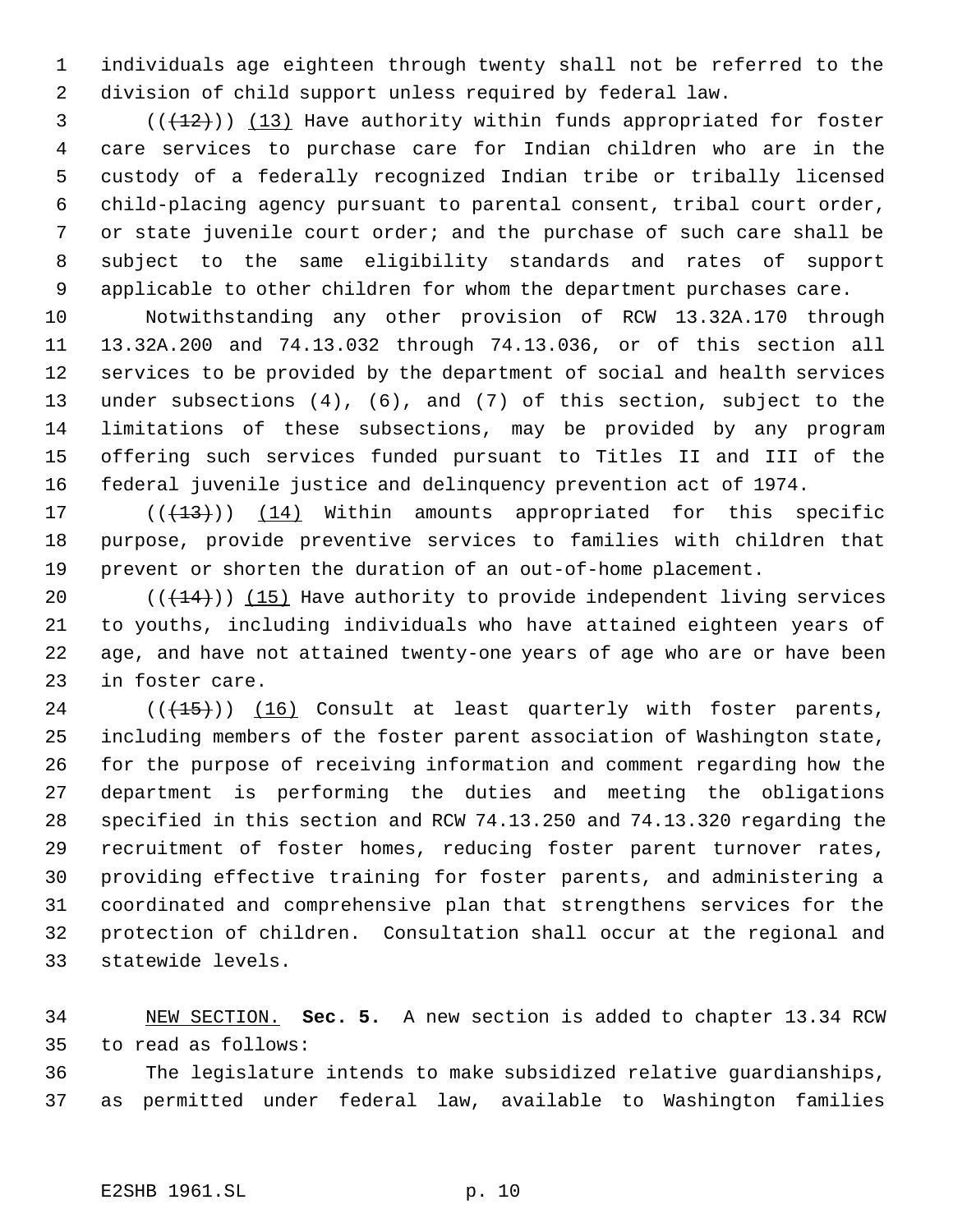individuals age eighteen through twenty shall not be referred to the division of child support unless required by federal law.

 (( $(12)$ )) (13) Have authority within funds appropriated for foster care services to purchase care for Indian children who are in the custody of a federally recognized Indian tribe or tribally licensed child-placing agency pursuant to parental consent, tribal court order, or state juvenile court order; and the purchase of such care shall be subject to the same eligibility standards and rates of support applicable to other children for whom the department purchases care.

 Notwithstanding any other provision of RCW 13.32A.170 through 13.32A.200 and 74.13.032 through 74.13.036, or of this section all services to be provided by the department of social and health services under subsections (4), (6), and (7) of this section, subject to the limitations of these subsections, may be provided by any program offering such services funded pursuant to Titles II and III of the federal juvenile justice and delinquency prevention act of 1974.

17 (( $(13)$ )) (14) Within amounts appropriated for this specific purpose, provide preventive services to families with children that prevent or shorten the duration of an out-of-home placement.

 $((+14))$   $(15)$  Have authority to provide independent living services to youths, including individuals who have attained eighteen years of age, and have not attained twenty-one years of age who are or have been in foster care.

24 (( $(15)$ )) (16) Consult at least quarterly with foster parents, including members of the foster parent association of Washington state, for the purpose of receiving information and comment regarding how the department is performing the duties and meeting the obligations specified in this section and RCW 74.13.250 and 74.13.320 regarding the recruitment of foster homes, reducing foster parent turnover rates, providing effective training for foster parents, and administering a coordinated and comprehensive plan that strengthens services for the protection of children. Consultation shall occur at the regional and statewide levels.

 NEW SECTION. **Sec. 5.** A new section is added to chapter 13.34 RCW to read as follows:

 The legislature intends to make subsidized relative guardianships, as permitted under federal law, available to Washington families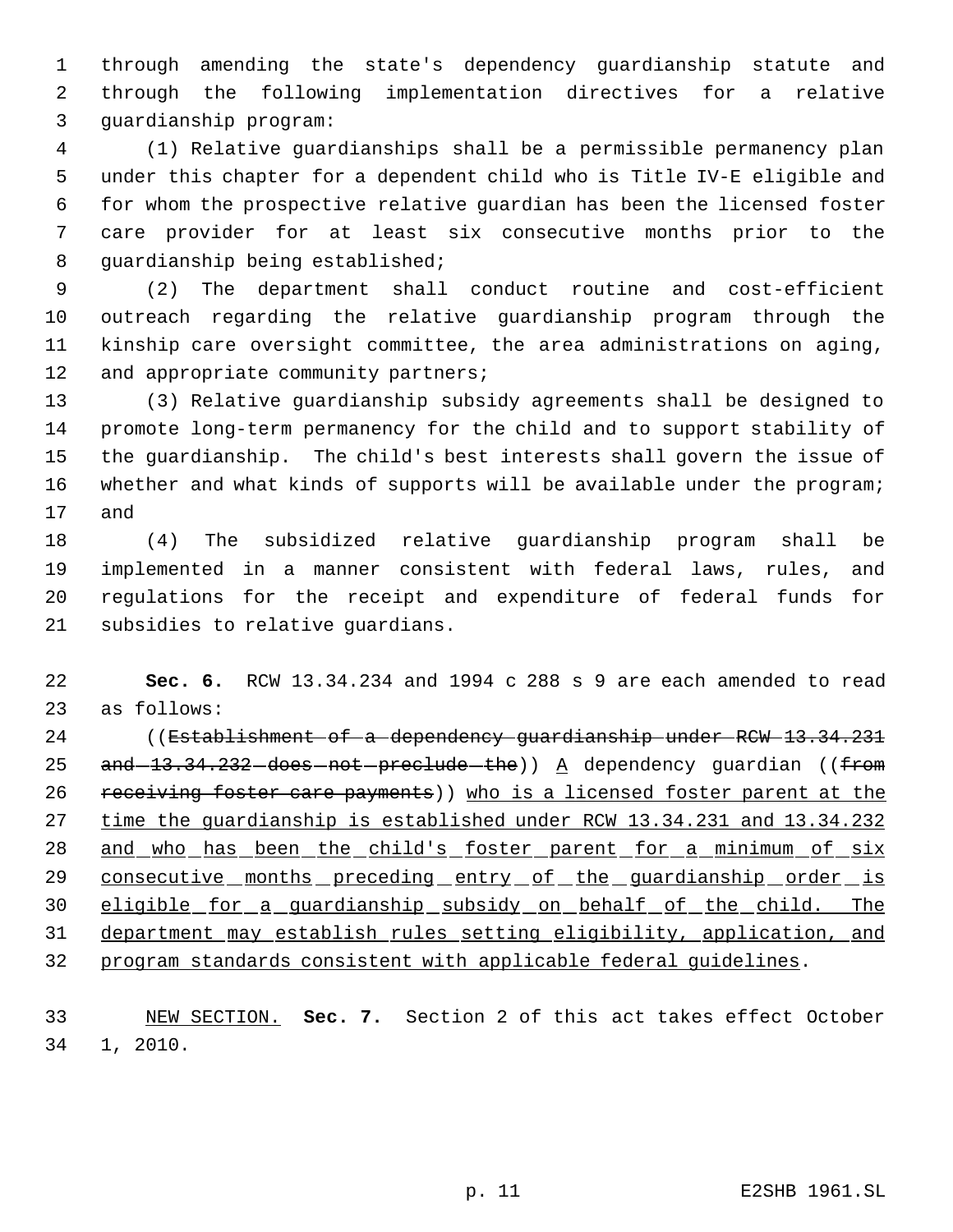through amending the state's dependency guardianship statute and through the following implementation directives for a relative guardianship program:

 (1) Relative guardianships shall be a permissible permanency plan under this chapter for a dependent child who is Title IV-E eligible and for whom the prospective relative guardian has been the licensed foster care provider for at least six consecutive months prior to the guardianship being established;

 (2) The department shall conduct routine and cost-efficient outreach regarding the relative guardianship program through the kinship care oversight committee, the area administrations on aging, 12 and appropriate community partners;

 (3) Relative guardianship subsidy agreements shall be designed to promote long-term permanency for the child and to support stability of the guardianship. The child's best interests shall govern the issue of 16 whether and what kinds of supports will be available under the program; and

 (4) The subsidized relative guardianship program shall be implemented in a manner consistent with federal laws, rules, and regulations for the receipt and expenditure of federal funds for subsidies to relative guardians.

 **Sec. 6.** RCW 13.34.234 and 1994 c 288 s 9 are each amended to read as follows:

 ((Establishment of a dependency guardianship under RCW 13.34.231 25 and  $-13.34.232$  does not preclude the)) A dependency guardian ((from 26 receiving foster care payments)) who is a licensed foster parent at the time the guardianship is established under RCW 13.34.231 and 13.34.232 28 and who has been the child's foster parent for a minimum of six 29 consecutive months preceding entry of the guardianship order is eligible for a guardianship subsidy on behalf of the child. The department may establish rules setting eligibility, application, and program standards consistent with applicable federal guidelines.

 NEW SECTION. **Sec. 7.** Section 2 of this act takes effect October 1, 2010.